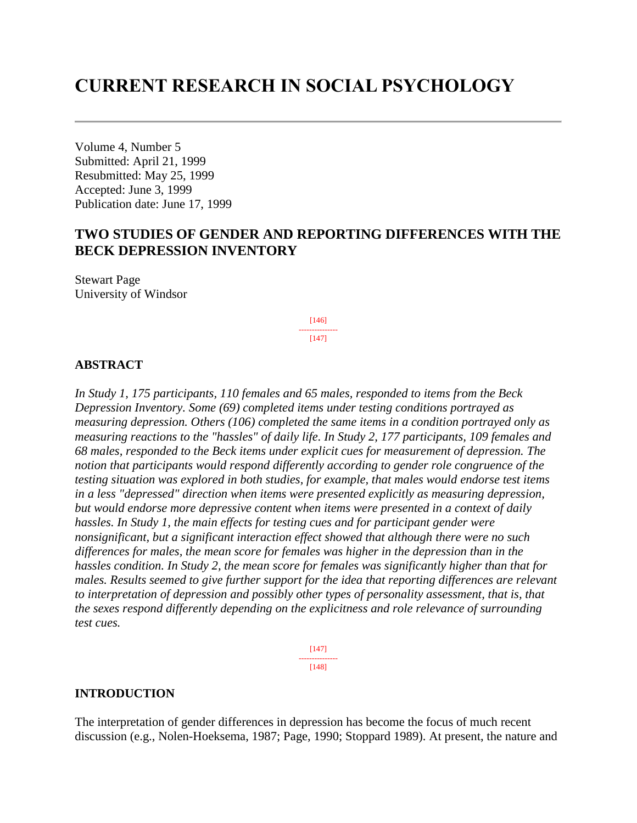# **CURRENT RESEARCH IN SOCIAL PSYCHOLOGY**

Volume 4, Number 5 Submitted: April 21, 1999 Resubmitted: May 25, 1999 Accepted: June 3, 1999 Publication date: June 17, 1999

# **TWO STUDIES OF GENDER AND REPORTING DIFFERENCES WITH THE BECK DEPRESSION INVENTORY**

Stewart Page University of Windsor

> [146] --------------- [147]

### **ABSTRACT**

*In Study 1, 175 participants, 110 females and 65 males, responded to items from the Beck Depression Inventory. Some (69) completed items under testing conditions portrayed as measuring depression. Others (106) completed the same items in a condition portrayed only as measuring reactions to the "hassles" of daily life. In Study 2, 177 participants, 109 females and 68 males, responded to the Beck items under explicit cues for measurement of depression. The notion that participants would respond differently according to gender role congruence of the testing situation was explored in both studies, for example, that males would endorse test items in a less "depressed" direction when items were presented explicitly as measuring depression, but would endorse more depressive content when items were presented in a context of daily hassles. In Study 1, the main effects for testing cues and for participant gender were nonsignificant, but a significant interaction effect showed that although there were no such differences for males, the mean score for females was higher in the depression than in the hassles condition. In Study 2, the mean score for females was significantly higher than that for males. Results seemed to give further support for the idea that reporting differences are relevant*  to interpretation of depression and possibly other types of personality assessment, that is, that *the sexes respond differently depending on the explicitness and role relevance of surrounding test cues.*

> [147] --------------- [148]

#### **INTRODUCTION**

The interpretation of gender differences in depression has become the focus of much recent discussion (e.g., Nolen-Hoeksema, 1987; Page, 1990; Stoppard 1989). At present, the nature and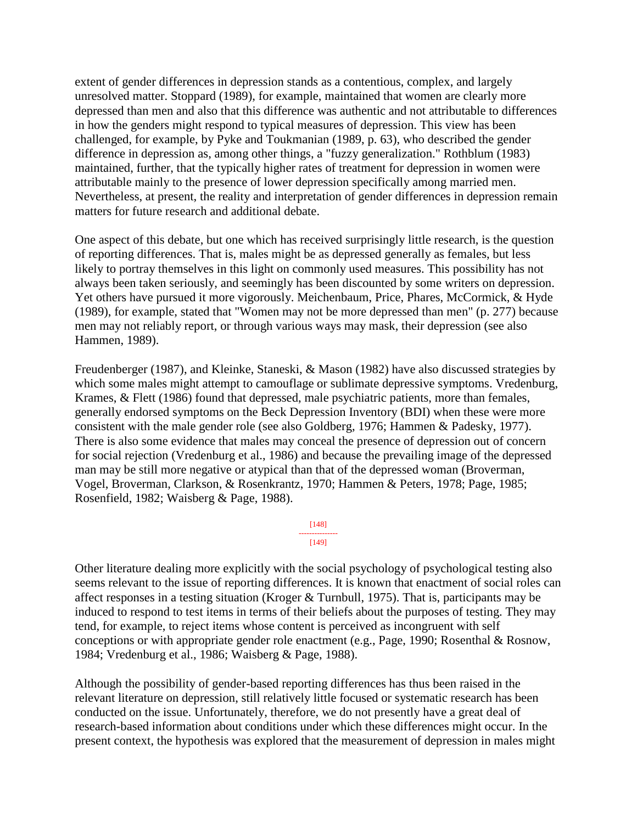extent of gender differences in depression stands as a contentious, complex, and largely unresolved matter. Stoppard (1989), for example, maintained that women are clearly more depressed than men and also that this difference was authentic and not attributable to differences in how the genders might respond to typical measures of depression. This view has been challenged, for example, by Pyke and Toukmanian (1989, p. 63), who described the gender difference in depression as, among other things, a "fuzzy generalization." Rothblum (1983) maintained, further, that the typically higher rates of treatment for depression in women were attributable mainly to the presence of lower depression specifically among married men. Nevertheless, at present, the reality and interpretation of gender differences in depression remain matters for future research and additional debate.

One aspect of this debate, but one which has received surprisingly little research, is the question of reporting differences. That is, males might be as depressed generally as females, but less likely to portray themselves in this light on commonly used measures. This possibility has not always been taken seriously, and seemingly has been discounted by some writers on depression. Yet others have pursued it more vigorously. Meichenbaum, Price, Phares, McCormick, & Hyde (1989), for example, stated that "Women may not be more depressed than men" (p. 277) because men may not reliably report, or through various ways may mask, their depression (see also Hammen, 1989).

Freudenberger (1987), and Kleinke, Staneski, & Mason (1982) have also discussed strategies by which some males might attempt to camouflage or sublimate depressive symptoms. Vredenburg, Krames, & Flett (1986) found that depressed, male psychiatric patients, more than females, generally endorsed symptoms on the Beck Depression Inventory (BDI) when these were more consistent with the male gender role (see also Goldberg, 1976; Hammen & Padesky, 1977). There is also some evidence that males may conceal the presence of depression out of concern for social rejection (Vredenburg et al., 1986) and because the prevailing image of the depressed man may be still more negative or atypical than that of the depressed woman (Broverman, Vogel, Broverman, Clarkson, & Rosenkrantz, 1970; Hammen & Peters, 1978; Page, 1985; Rosenfield, 1982; Waisberg & Page, 1988).

> [148] --------------- [149]

Other literature dealing more explicitly with the social psychology of psychological testing also seems relevant to the issue of reporting differences. It is known that enactment of social roles can affect responses in a testing situation (Kroger & Turnbull, 1975). That is, participants may be induced to respond to test items in terms of their beliefs about the purposes of testing. They may tend, for example, to reject items whose content is perceived as incongruent with self conceptions or with appropriate gender role enactment (e.g., Page, 1990; Rosenthal & Rosnow, 1984; Vredenburg et al., 1986; Waisberg & Page, 1988).

Although the possibility of gender-based reporting differences has thus been raised in the relevant literature on depression, still relatively little focused or systematic research has been conducted on the issue. Unfortunately, therefore, we do not presently have a great deal of research-based information about conditions under which these differences might occur. In the present context, the hypothesis was explored that the measurement of depression in males might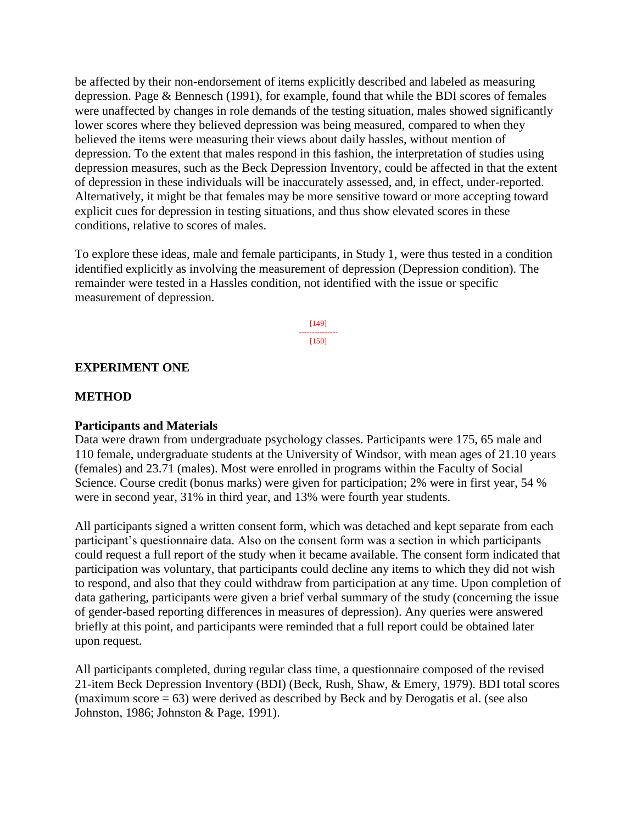be affected by their non-endorsement of items explicitly described and labeled as measuring depression. Page & Bennesch (1991), for example, found that while the BDI scores of females were unaffected by changes in role demands of the testing situation, males showed significantly lower scores where they believed depression was being measured, compared to when they believed the items were measuring their views about daily hassles, without mention of depression. To the extent that males respond in this fashion, the interpretation of studies using depression measures, such as the Beck Depression Inventory, could be affected in that the extent of depression in these individuals will be inaccurately assessed, and, in effect, under-reported. Alternatively, it might be that females may be more sensitive toward or more accepting toward explicit cues for depression in testing situations, and thus show elevated scores in these conditions, relative to scores of males.

To explore these ideas, male and female participants, in Study 1, were thus tested in a condition identified explicitly as involving the measurement of depression (Depression condition). The remainder were tested in a Hassles condition, not identified with the issue or specific measurement of depression.

> [149] --------------- [150]

### **EXPERIMENT ONE**

#### **METHOD**

#### **Participants and Materials**

Data were drawn from undergraduate psychology classes. Participants were 175, 65 male and 110 female, undergraduate students at the University of Windsor, with mean ages of 21.10 years (females) and 23.71 (males). Most were enrolled in programs within the Faculty of Social Science. Course credit (bonus marks) were given for participation; 2% were in first year, 54 % were in second year, 31% in third year, and 13% were fourth year students.

All participants signed a written consent form, which was detached and kept separate from each participant's questionnaire data. Also on the consent form was a section in which participants could request a full report of the study when it became available. The consent form indicated that participation was voluntary, that participants could decline any items to which they did not wish to respond, and also that they could withdraw from participation at any time. Upon completion of data gathering, participants were given a brief verbal summary of the study (concerning the issue of gender-based reporting differences in measures of depression). Any queries were answered briefly at this point, and participants were reminded that a full report could be obtained later upon request.

All participants completed, during regular class time, a questionnaire composed of the revised 21-item Beck Depression Inventory (BDI) (Beck, Rush, Shaw, & Emery, 1979). BDI total scores (maximum score  $= 63$ ) were derived as described by Beck and by Derogatis et al. (see also Johnston, 1986; Johnston & Page, 1991).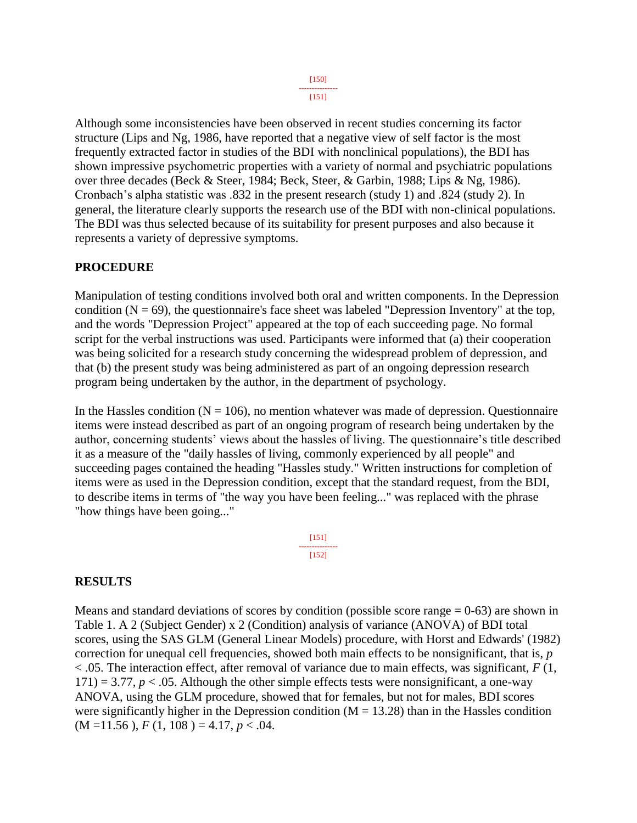#### [150] ---------------

[151]

Although some inconsistencies have been observed in recent studies concerning its factor structure (Lips and Ng, 1986, have reported that a negative view of self factor is the most frequently extracted factor in studies of the BDI with nonclinical populations), the BDI has shown impressive psychometric properties with a variety of normal and psychiatric populations over three decades (Beck & Steer, 1984; Beck, Steer, & Garbin, 1988; Lips & Ng, 1986). Cronbach's alpha statistic was .832 in the present research (study 1) and .824 (study 2). In general, the literature clearly supports the research use of the BDI with non-clinical populations. The BDI was thus selected because of its suitability for present purposes and also because it represents a variety of depressive symptoms.

# **PROCEDURE**

Manipulation of testing conditions involved both oral and written components. In the Depression condition  $(N = 69)$ , the questionnaire's face sheet was labeled "Depression Inventory" at the top, and the words "Depression Project" appeared at the top of each succeeding page. No formal script for the verbal instructions was used. Participants were informed that (a) their cooperation was being solicited for a research study concerning the widespread problem of depression, and that (b) the present study was being administered as part of an ongoing depression research program being undertaken by the author, in the department of psychology.

In the Hassles condition ( $N = 106$ ), no mention whatever was made of depression. Questionnaire items were instead described as part of an ongoing program of research being undertaken by the author, concerning students' views about the hassles of living. The questionnaire's title described it as a measure of the "daily hassles of living, commonly experienced by all people" and succeeding pages contained the heading "Hassles study." Written instructions for completion of items were as used in the Depression condition, except that the standard request, from the BDI, to describe items in terms of "the way you have been feeling..." was replaced with the phrase "how things have been going..."

> [151] --------------- [152]

# **RESULTS**

Means and standard deviations of scores by condition (possible score range  $= 0-63$ ) are shown in Table 1. A 2 (Subject Gender) x 2 (Condition) analysis of variance (ANOVA) of BDI total scores, using the SAS GLM (General Linear Models) procedure, with Horst and Edwards' (1982) correction for unequal cell frequencies, showed both main effects to be nonsignificant, that is, *p*  $<$  0.05. The interaction effect, after removal of variance due to main effects, was significant, *F* (1,  $171$ ) = 3.77,  $p < .05$ . Although the other simple effects tests were nonsignificant, a one-way ANOVA, using the GLM procedure, showed that for females, but not for males, BDI scores were significantly higher in the Depression condition  $(M = 13.28)$  than in the Hassles condition  $(M = 11.56)$ ,  $F(1, 108) = 4.17$ ,  $p < .04$ .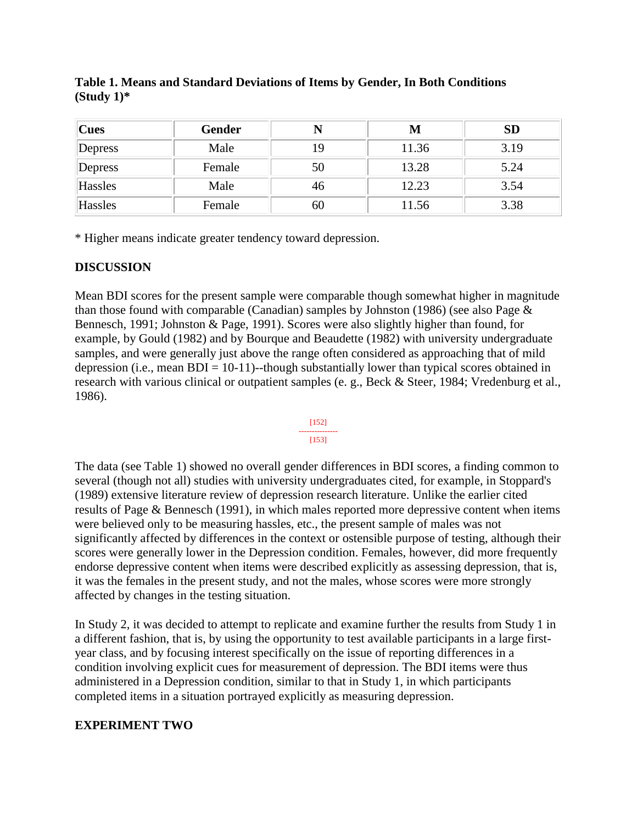| $ {\bf C}$ ues | <b>Gender</b> |    | M     | <b>SD</b> |
|----------------|---------------|----|-------|-----------|
| Depress        | Male          |    | 11.36 | 3.19      |
| Depress        | Female        | 50 | 13.28 | 5.24      |
| Hassles        | Male          | 46 | 12.23 | 3.54      |
| Hassles        | Female        | 60 | 11.56 | 3.38      |

**Table 1. Means and Standard Deviations of Items by Gender, In Both Conditions (Study 1)\***

\* Higher means indicate greater tendency toward depression.

# **DISCUSSION**

Mean BDI scores for the present sample were comparable though somewhat higher in magnitude than those found with comparable (Canadian) samples by Johnston (1986) (see also Page & Bennesch, 1991; Johnston & Page, 1991). Scores were also slightly higher than found, for example, by Gould (1982) and by Bourque and Beaudette (1982) with university undergraduate samples, and were generally just above the range often considered as approaching that of mild depression (i.e., mean  $BDI = 10-11$ )-though substantially lower than typical scores obtained in research with various clinical or outpatient samples (e. g., Beck & Steer, 1984; Vredenburg et al., 1986).



The data (see Table 1) showed no overall gender differences in BDI scores, a finding common to several (though not all) studies with university undergraduates cited, for example, in Stoppard's (1989) extensive literature review of depression research literature. Unlike the earlier cited results of Page & Bennesch (1991), in which males reported more depressive content when items were believed only to be measuring hassles, etc., the present sample of males was not significantly affected by differences in the context or ostensible purpose of testing, although their scores were generally lower in the Depression condition. Females, however, did more frequently endorse depressive content when items were described explicitly as assessing depression, that is, it was the females in the present study, and not the males, whose scores were more strongly affected by changes in the testing situation.

In Study 2, it was decided to attempt to replicate and examine further the results from Study 1 in a different fashion, that is, by using the opportunity to test available participants in a large firstyear class, and by focusing interest specifically on the issue of reporting differences in a condition involving explicit cues for measurement of depression. The BDI items were thus administered in a Depression condition, similar to that in Study 1, in which participants completed items in a situation portrayed explicitly as measuring depression.

# **EXPERIMENT TWO**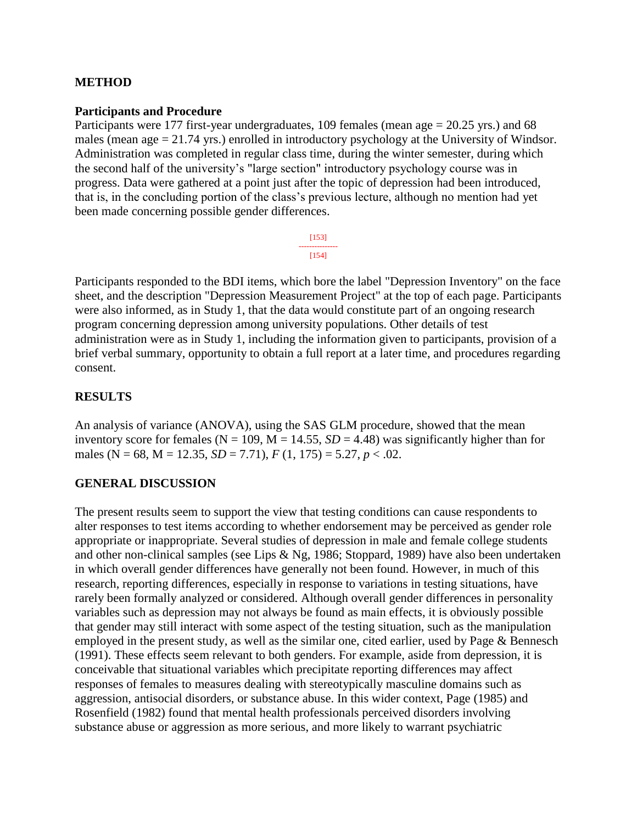# **METHOD**

### **Participants and Procedure**

Participants were 177 first-year undergraduates, 109 females (mean age = 20.25 yrs.) and 68 males (mean age = 21.74 yrs.) enrolled in introductory psychology at the University of Windsor. Administration was completed in regular class time, during the winter semester, during which the second half of the university's "large section" introductory psychology course was in progress. Data were gathered at a point just after the topic of depression had been introduced, that is, in the concluding portion of the class's previous lecture, although no mention had yet been made concerning possible gender differences.

> [153] --------------- [154]

Participants responded to the BDI items, which bore the label "Depression Inventory" on the face sheet, and the description "Depression Measurement Project" at the top of each page. Participants were also informed, as in Study 1, that the data would constitute part of an ongoing research program concerning depression among university populations. Other details of test administration were as in Study 1, including the information given to participants, provision of a brief verbal summary, opportunity to obtain a full report at a later time, and procedures regarding consent.

# **RESULTS**

An analysis of variance (ANOVA), using the SAS GLM procedure, showed that the mean inventory score for females ( $N = 109$ ,  $M = 14.55$ ,  $SD = 4.48$ ) was significantly higher than for males (N = 68, M = 12.35, *SD* = 7.71), *F* (1, 175) = 5.27, *p* < .02.

# **GENERAL DISCUSSION**

The present results seem to support the view that testing conditions can cause respondents to alter responses to test items according to whether endorsement may be perceived as gender role appropriate or inappropriate. Several studies of depression in male and female college students and other non-clinical samples (see Lips & Ng, 1986; Stoppard, 1989) have also been undertaken in which overall gender differences have generally not been found. However, in much of this research, reporting differences, especially in response to variations in testing situations, have rarely been formally analyzed or considered. Although overall gender differences in personality variables such as depression may not always be found as main effects, it is obviously possible that gender may still interact with some aspect of the testing situation, such as the manipulation employed in the present study, as well as the similar one, cited earlier, used by Page & Bennesch (1991). These effects seem relevant to both genders. For example, aside from depression, it is conceivable that situational variables which precipitate reporting differences may affect responses of females to measures dealing with stereotypically masculine domains such as aggression, antisocial disorders, or substance abuse. In this wider context, Page (1985) and Rosenfield (1982) found that mental health professionals perceived disorders involving substance abuse or aggression as more serious, and more likely to warrant psychiatric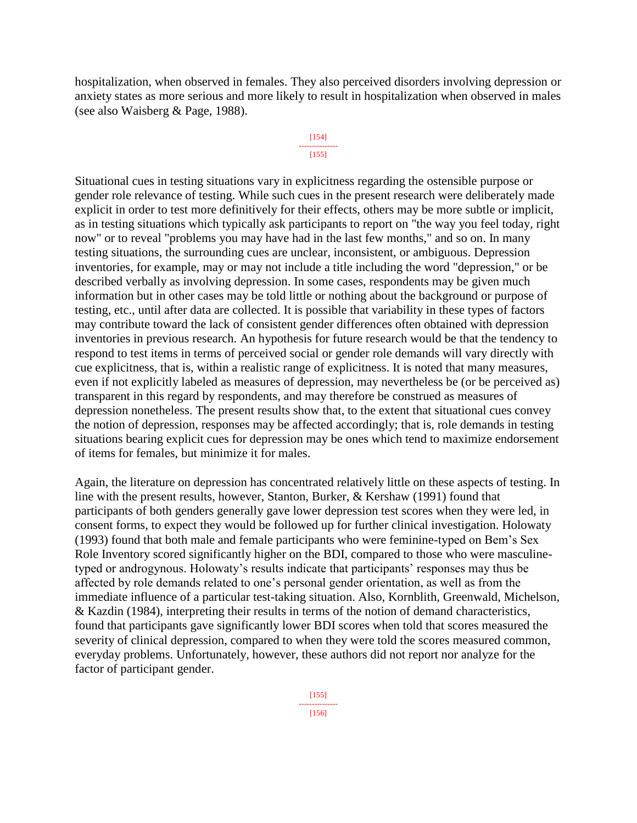hospitalization, when observed in females. They also perceived disorders involving depression or anxiety states as more serious and more likely to result in hospitalization when observed in males (see also Waisberg & Page, 1988).

#### [154] --------------- [155]

Situational cues in testing situations vary in explicitness regarding the ostensible purpose or gender role relevance of testing. While such cues in the present research were deliberately made explicit in order to test more definitively for their effects, others may be more subtle or implicit, as in testing situations which typically ask participants to report on "the way you feel today, right now" or to reveal "problems you may have had in the last few months," and so on. In many testing situations, the surrounding cues are unclear, inconsistent, or ambiguous. Depression inventories, for example, may or may not include a title including the word "depression," or be described verbally as involving depression. In some cases, respondents may be given much information but in other cases may be told little or nothing about the background or purpose of testing, etc., until after data are collected. It is possible that variability in these types of factors may contribute toward the lack of consistent gender differences often obtained with depression inventories in previous research. An hypothesis for future research would be that the tendency to respond to test items in terms of perceived social or gender role demands will vary directly with cue explicitness, that is, within a realistic range of explicitness. It is noted that many measures, even if not explicitly labeled as measures of depression, may nevertheless be (or be perceived as) transparent in this regard by respondents, and may therefore be construed as measures of depression nonetheless. The present results show that, to the extent that situational cues convey the notion of depression, responses may be affected accordingly; that is, role demands in testing situations bearing explicit cues for depression may be ones which tend to maximize endorsement of items for females, but minimize it for males.

Again, the literature on depression has concentrated relatively little on these aspects of testing. In line with the present results, however, Stanton, Burker, & Kershaw (1991) found that participants of both genders generally gave lower depression test scores when they were led, in consent forms, to expect they would be followed up for further clinical investigation. Holowaty (1993) found that both male and female participants who were feminine-typed on Bem's Sex Role Inventory scored significantly higher on the BDI, compared to those who were masculinetyped or androgynous. Holowaty's results indicate that participants' responses may thus be affected by role demands related to one's personal gender orientation, as well as from the immediate influence of a particular test-taking situation. Also, Kornblith, Greenwald, Michelson, & Kazdin (1984), interpreting their results in terms of the notion of demand characteristics, found that participants gave significantly lower BDI scores when told that scores measured the severity of clinical depression, compared to when they were told the scores measured common, everyday problems. Unfortunately, however, these authors did not report nor analyze for the factor of participant gender.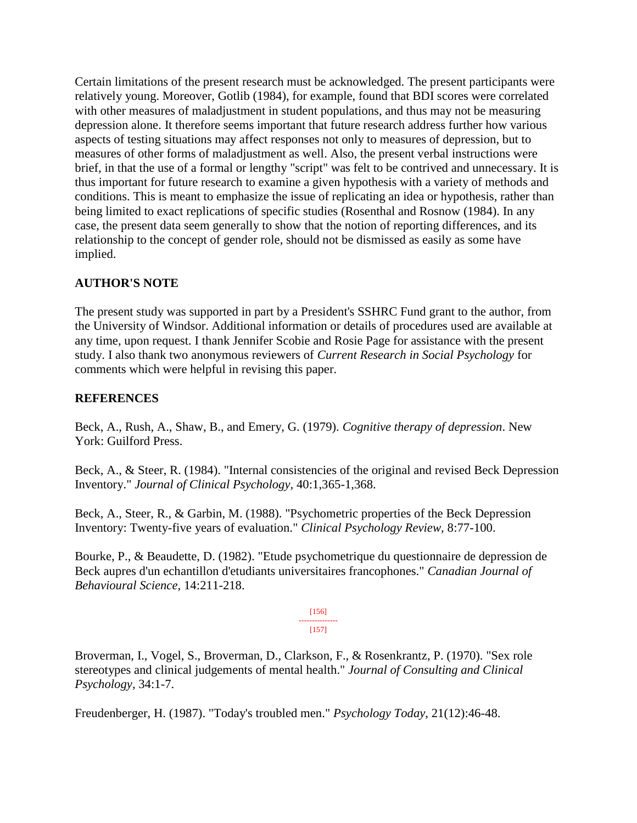Certain limitations of the present research must be acknowledged. The present participants were relatively young. Moreover, Gotlib (1984), for example, found that BDI scores were correlated with other measures of maladjustment in student populations, and thus may not be measuring depression alone. It therefore seems important that future research address further how various aspects of testing situations may affect responses not only to measures of depression, but to measures of other forms of maladjustment as well. Also, the present verbal instructions were brief, in that the use of a formal or lengthy "script" was felt to be contrived and unnecessary. It is thus important for future research to examine a given hypothesis with a variety of methods and conditions. This is meant to emphasize the issue of replicating an idea or hypothesis, rather than being limited to exact replications of specific studies (Rosenthal and Rosnow (1984). In any case, the present data seem generally to show that the notion of reporting differences, and its relationship to the concept of gender role, should not be dismissed as easily as some have implied.

# **AUTHOR'S NOTE**

The present study was supported in part by a President's SSHRC Fund grant to the author, from the University of Windsor. Additional information or details of procedures used are available at any time, upon request. I thank Jennifer Scobie and Rosie Page for assistance with the present study. I also thank two anonymous reviewers of *Current Research in Social Psychology* for comments which were helpful in revising this paper.

# **REFERENCES**

Beck, A., Rush, A., Shaw, B., and Emery, G. (1979). *Cognitive therapy of depression*. New York: Guilford Press.

Beck, A., & Steer, R. (1984). "Internal consistencies of the original and revised Beck Depression Inventory." *Journal of Clinical Psychology,* 40:1,365-1,368.

Beck, A., Steer, R., & Garbin, M. (1988). "Psychometric properties of the Beck Depression Inventory: Twenty-five years of evaluation." *Clinical Psychology Review,* 8:77-100.

Bourke, P., & Beaudette, D. (1982). "Etude psychometrique du questionnaire de depression de Beck aupres d'un echantillon d'etudiants universitaires francophones." *Canadian Journal of Behavioural Science,* 14:211-218.

> [156] --------------- [157]

Broverman, I., Vogel, S., Broverman, D., Clarkson, F., & Rosenkrantz, P. (1970). "Sex role stereotypes and clinical judgements of mental health." *Journal of Consulting and Clinical Psychology,* 34:1-7.

Freudenberger, H. (1987). "Today's troubled men." *Psychology Today*, 21(12):46-48.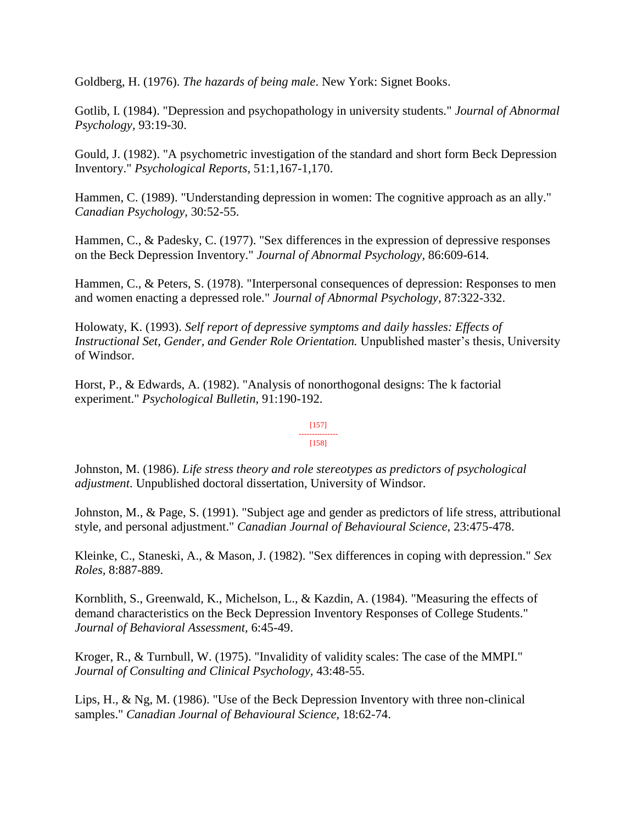Goldberg, H. (1976). *The hazards of being male*. New York: Signet Books.

Gotlib, I. (1984). "Depression and psychopathology in university students." *Journal of Abnormal Psychology,* 93:19-30.

Gould, J. (1982). "A psychometric investigation of the standard and short form Beck Depression Inventory." *Psychological Reports*, 51:1,167-1,170.

Hammen, C. (1989). "Understanding depression in women: The cognitive approach as an ally." *Canadian Psychology,* 30:52-55.

Hammen, C., & Padesky, C. (1977). "Sex differences in the expression of depressive responses on the Beck Depression Inventory." *Journal of Abnormal Psychology,* 86:609-614.

Hammen, C., & Peters, S. (1978). "Interpersonal consequences of depression: Responses to men and women enacting a depressed role." *Journal of Abnormal Psychology,* 87:322-332.

Holowaty, K. (1993). *Self report of depressive symptoms and daily hassles: Effects of Instructional Set, Gender, and Gender Role Orientation.* Unpublished master's thesis, University of Windsor.

Horst, P., & Edwards, A. (1982). "Analysis of nonorthogonal designs: The k factorial experiment." *Psychological Bulletin,* 91:190-192.

#### [157] --------------- [158]

Johnston, M. (1986). *Life stress theory and role stereotypes as predictors of psychological adjustment*. Unpublished doctoral dissertation, University of Windsor.

Johnston, M., & Page, S. (1991). "Subject age and gender as predictors of life stress, attributional style, and personal adjustment." *Canadian Journal of Behavioural Science*, 23:475-478.

Kleinke, C., Staneski, A., & Mason, J. (1982). "Sex differences in coping with depression." *Sex Roles,* 8:887-889.

Kornblith, S., Greenwald, K., Michelson, L., & Kazdin, A. (1984). "Measuring the effects of demand characteristics on the Beck Depression Inventory Responses of College Students." *Journal of Behavioral Assessment,* 6:45-49.

Kroger, R., & Turnbull, W. (1975). "Invalidity of validity scales: The case of the MMPI." *Journal of Consulting and Clinical Psychology,* 43:48-55.

Lips, H., & Ng, M. (1986). "Use of the Beck Depression Inventory with three non-clinical samples." *Canadian Journal of Behavioural Science,* 18:62-74.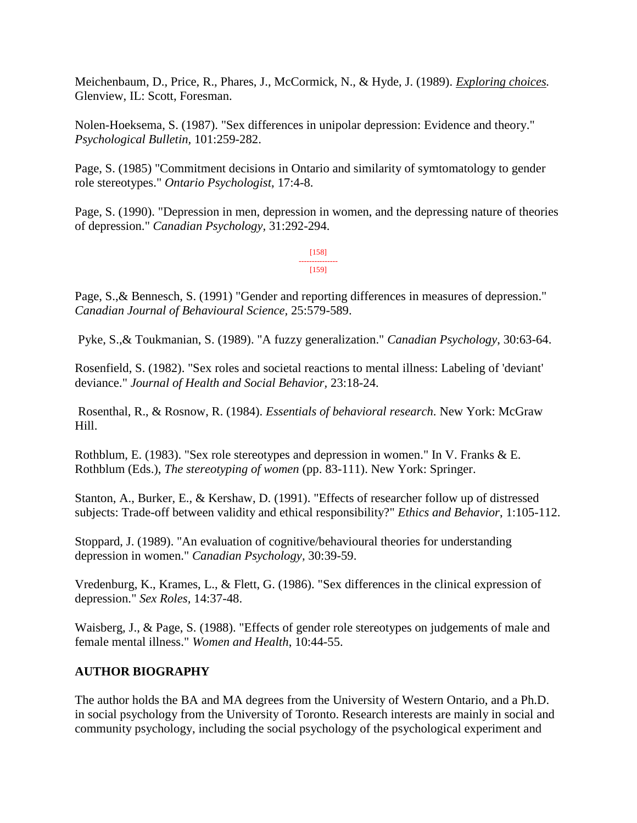Meichenbaum, D., Price, R., Phares, J., McCormick, N., & Hyde, J. (1989). *Exploring choices.* Glenview, IL: Scott, Foresman.

Nolen-Hoeksema, S. (1987). "Sex differences in unipolar depression: Evidence and theory." *Psychological Bulletin,* 101:259-282.

Page, S. (1985) "Commitment decisions in Ontario and similarity of symtomatology to gender role stereotypes." *Ontario Psychologist*, 17:4-8.

Page, S. (1990). "Depression in men, depression in women, and the depressing nature of theories of depression." *Canadian Psychology,* 31:292-294.

> [158] --------------- [159]

Page, S.,& Bennesch, S. (1991) "Gender and reporting differences in measures of depression." *Canadian Journal of Behavioural Science,* 25:579-589.

Pyke, S.,& Toukmanian, S. (1989). "A fuzzy generalization." *Canadian Psychology*, 30:63-64.

Rosenfield, S. (1982). "Sex roles and societal reactions to mental illness: Labeling of 'deviant' deviance." *Journal of Health and Social Behavior,* 23:18-24.

Rosenthal, R., & Rosnow, R. (1984). *Essentials of behavioral research*. New York: McGraw Hill.

Rothblum, E. (1983). "Sex role stereotypes and depression in women." In V. Franks & E. Rothblum (Eds.), *The stereotyping of women* (pp. 83-111). New York: Springer.

Stanton, A., Burker, E., & Kershaw, D. (1991). "Effects of researcher follow up of distressed subjects: Trade-off between validity and ethical responsibility?" *Ethics and Behavior*, 1:105-112.

Stoppard, J. (1989). "An evaluation of cognitive/behavioural theories for understanding depression in women." *Canadian Psychology,* 30:39-59.

Vredenburg, K., Krames, L., & Flett, G. (1986). "Sex differences in the clinical expression of depression." *Sex Roles,* 14:37-48.

Waisberg, J., & Page, S. (1988). "Effects of gender role stereotypes on judgements of male and female mental illness." *Women and Health*, 10:44-55.

# **AUTHOR BIOGRAPHY**

The author holds the BA and MA degrees from the University of Western Ontario, and a Ph.D. in social psychology from the University of Toronto. Research interests are mainly in social and community psychology, including the social psychology of the psychological experiment and